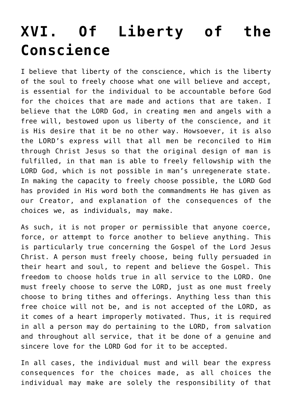## **[XVI. Of Liberty of the](https://reproachofmen.org/statement-of-faith/xvi-of-liberty-of-the-conscience/) [Conscience](https://reproachofmen.org/statement-of-faith/xvi-of-liberty-of-the-conscience/)**

I believe that liberty of the conscience, which is the liberty of the soul to freely choose what one will believe and accept, is essential for the individual to be accountable before God for the choices that are made and actions that are taken. I believe that the LORD God, in creating men and angels with a free will, bestowed upon us liberty of the conscience, and it is His desire that it be no other way. Howsoever, it is also the LORD's express will that all men be reconciled to Him through Christ Jesus so that the original design of man is fulfilled, in that man is able to freely fellowship with the LORD God, which is not possible in man's unregenerate state. In making the capacity to freely choose possible, the LORD God has provided in His word both the commandments He has given as our Creator, and explanation of the consequences of the choices we, as individuals, may make.

As such, it is not proper or permissible that anyone coerce, force, or attempt to force another to believe anything. This is particularly true concerning the Gospel of the Lord Jesus Christ. A person must freely choose, being fully persuaded in their heart and soul, to repent and believe the Gospel. This freedom to choose holds true in all service to the LORD. One must freely choose to serve the LORD, just as one must freely choose to bring tithes and offerings. Anything less than this free choice will not be, and is not accepted of the LORD, as it comes of a heart improperly motivated. Thus, it is required in all a person may do pertaining to the LORD, from salvation and throughout all service, that it be done of a genuine and sincere love for the LORD God for it to be accepted.

In all cases, the individual must and will bear the express consequences for the choices made, as all choices the individual may make are solely the responsibility of that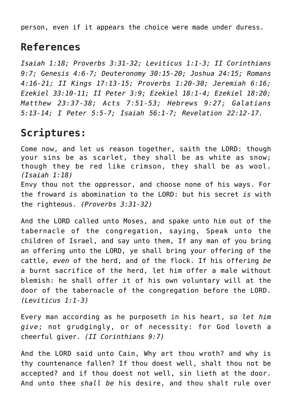person, even if it appears the choice were made under duress.

## **References**

*Isaiah 1:18; Proverbs 3:31-32; Leviticus 1:1-3; II Corinthians 9:7; Genesis 4:6-7; Deuteronomy 30:15-20; Joshua 24:15; Romans 4:16-21; II Kings 17:13-15; Proverbs 1:20-30; Jeremiah 6:16; Ezekiel 33:10-11; II Peter 3:9; Ezekiel 18:1-4; Ezekiel 18:20; Matthew 23:37-38; Acts 7:51-53; Hebrews 9:27; Galatians 5:13-14; I Peter 5:5-7; Isaiah 56:1-7; Revelation 22:12-17.*

## **Scriptures:**

Come now, and let us reason together, saith the LORD: though your sins be as scarlet, they shall be as white as snow; though they be red like crimson, they shall be as wool. *(Isaiah 1:18)* Envy thou not the oppressor, and choose none of his ways. For the froward *is* abomination to the LORD: but his secret *is* with the righteous. *(Proverbs 3:31-32)*

And the LORD called unto Moses, and spake unto him out of the tabernacle of the congregation, saying, Speak unto the children of Israel, and say unto them, If any man of you bring an offering unto the LORD, ye shall bring your offering of the cattle, *even* of the herd, and of the flock. If his offering *be* a burnt sacrifice of the herd, let him offer a male without blemish: he shall offer it of his own voluntary will at the door of the tabernacle of the congregation before the LORD. *(Leviticus 1:1-3)*

Every man according as he purposeth in his heart, *so let him give*; not grudgingly, or of necessity: for God loveth a cheerful giver. *(II Corinthians 9:7)*

And the LORD said unto Cain, Why art thou wroth? and why is thy countenance fallen? If thou doest well, shalt thou not be accepted? and if thou doest not well, sin lieth at the door. And unto thee *shall be* his desire, and thou shalt rule over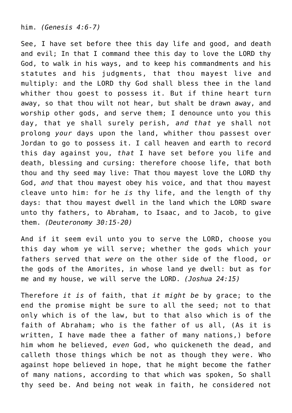him. *(Genesis 4:6-7)*

See, I have set before thee this day life and good, and death and evil; In that I command thee this day to love the LORD thy God, to walk in his ways, and to keep his commandments and his statutes and his judgments, that thou mayest live and multiply: and the LORD thy God shall bless thee in the land whither thou goest to possess it. But if thine heart turn away, so that thou wilt not hear, but shalt be drawn away, and worship other gods, and serve them; I denounce unto you this day, that ye shall surely perish, *and that* ye shall not prolong *your* days upon the land, whither thou passest over Jordan to go to possess it. I call heaven and earth to record this day against you, *that* I have set before you life and death, blessing and cursing: therefore choose life, that both thou and thy seed may live: That thou mayest love the LORD thy God, *and* that thou mayest obey his voice, and that thou mayest cleave unto him: for he *is* thy life, and the length of thy days: that thou mayest dwell in the land which the LORD sware unto thy fathers, to Abraham, to Isaac, and to Jacob, to give them. *(Deuteronomy 30:15-20)*

And if it seem evil unto you to serve the LORD, choose you this day whom ye will serve; whether the gods which your fathers served that *were* on the other side of the flood, or the gods of the Amorites, in whose land ye dwell: but as for me and my house, we will serve the LORD. *(Joshua 24:15)*

Therefore *it is* of faith, that *it might be* by grace; to the end the promise might be sure to all the seed; not to that only which is of the law, but to that also which is of the faith of Abraham; who is the father of us all, (As it is written, I have made thee a father of many nations,) before him whom he believed, *even* God, who quickeneth the dead, and calleth those things which be not as though they were. Who against hope believed in hope, that he might become the father of many nations, according to that which was spoken, So shall thy seed be. And being not weak in faith, he considered not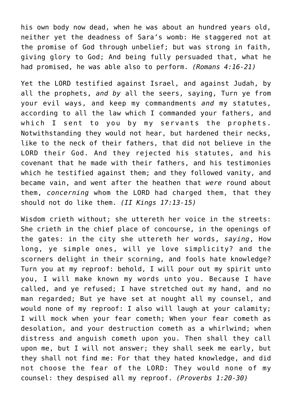his own body now dead, when he was about an hundred years old, neither yet the deadness of Sara's womb: He staggered not at the promise of God through unbelief; but was strong in faith, giving glory to God; And being fully persuaded that, what he had promised, he was able also to perform. *(Romans 4:16-21)*

Yet the LORD testified against Israel, and against Judah, by all the prophets, *and by* all the seers, saying, Turn ye from your evil ways, and keep my commandments *and* my statutes, according to all the law which I commanded your fathers, and which I sent to you by my servants the prophets. Notwithstanding they would not hear, but hardened their necks, like to the neck of their fathers, that did not believe in the LORD their God. And they rejected his statutes, and his covenant that he made with their fathers, and his testimonies which he testified against them; and they followed vanity, and became vain, and went after the heathen that *were* round about them, *concerning* whom the LORD had charged them, that they should not do like them. *(II Kings 17:13-15)*

Wisdom crieth without; she uttereth her voice in the streets: She crieth in the chief place of concourse, in the openings of the gates: in the city she uttereth her words, *saying*, How long, ye simple ones, will ye love simplicity? and the scorners delight in their scorning, and fools hate knowledge? Turn you at my reproof: behold, I will pour out my spirit unto you, I will make known my words unto you. Because I have called, and ye refused; I have stretched out my hand, and no man regarded; But ye have set at nought all my counsel, and would none of my reproof: I also will laugh at your calamity; I will mock when your fear cometh; When your fear cometh as desolation, and your destruction cometh as a whirlwind; when distress and anguish cometh upon you. Then shall they call upon me, but I will not answer; they shall seek me early, but they shall not find me: For that they hated knowledge, and did not choose the fear of the LORD: They would none of my counsel: they despised all my reproof. *(Proverbs 1:20-30)*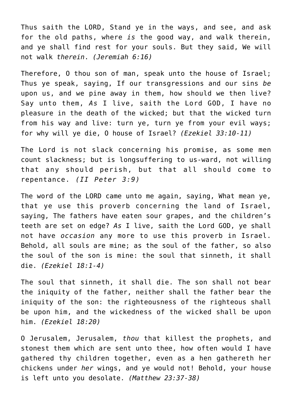Thus saith the LORD, Stand ye in the ways, and see, and ask for the old paths, where *is* the good way, and walk therein, and ye shall find rest for your souls. But they said, We will not walk *therein*. *(Jeremiah 6:16)*

Therefore, O thou son of man, speak unto the house of Israel; Thus ye speak, saying, If our transgressions and our sins *be* upon us, and we pine away in them, how should we then live? Say unto them, *As* I live, saith the Lord GOD, I have no pleasure in the death of the wicked; but that the wicked turn from his way and live: turn ye, turn ye from your evil ways; for why will ye die, O house of Israel? *(Ezekiel 33:10-11)*

The Lord is not slack concerning his promise, as some men count slackness; but is longsuffering to us-ward, not willing that any should perish, but that all should come to repentance. *(II Peter 3:9)*

The word of the LORD came unto me again, saying, What mean ye, that ye use this proverb concerning the land of Israel, saying, The fathers have eaten sour grapes, and the children's teeth are set on edge? *As* I live, saith the Lord GOD, ye shall not have *occasion* any more to use this proverb in Israel. Behold, all souls are mine; as the soul of the father, so also the soul of the son is mine: the soul that sinneth, it shall die. *(Ezekiel 18:1-4)*

The soul that sinneth, it shall die. The son shall not bear the iniquity of the father, neither shall the father bear the iniquity of the son: the righteousness of the righteous shall be upon him, and the wickedness of the wicked shall be upon him. *(Ezekiel 18:20)*

O Jerusalem, Jerusalem, *thou* that killest the prophets, and stonest them which are sent unto thee, how often would I have gathered thy children together, even as a hen gathereth her chickens under *her* wings, and ye would not! Behold, your house is left unto you desolate. *(Matthew 23:37-38)*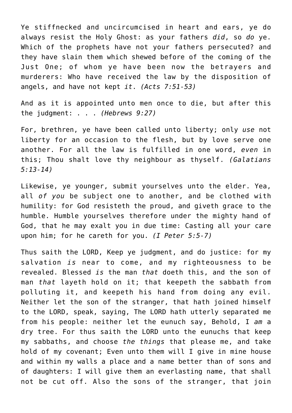Ye stiffnecked and uncircumcised in heart and ears, ye do always resist the Holy Ghost: as your fathers *did*, so *do* ye. Which of the prophets have not your fathers persecuted? and they have slain them which shewed before of the coming of the Just One; of whom ye have been now the betrayers and murderers: Who have received the law by the disposition of angels, and have not kept *it*. *(Acts 7:51-53)*

And as it is appointed unto men once to die, but after this the judgment: . . . *(Hebrews 9:27)*

For, brethren, ye have been called unto liberty; only *use* not liberty for an occasion to the flesh, but by love serve one another. For all the law is fulfilled in one word, *even* in this; Thou shalt love thy neighbour as thyself. *(Galatians 5:13-14)*

Likewise, ye younger, submit yourselves unto the elder. Yea, all *of you* be subject one to another, and be clothed with humility: for God resisteth the proud, and giveth grace to the humble. Humble yourselves therefore under the mighty hand of God, that he may exalt you in due time: Casting all your care upon him; for he careth for you. *(I Peter 5:5-7)*

Thus saith the LORD, Keep ye judgment, and do justice: for my salvation *is* near to come, and my righteousness to be revealed. Blessed *is* the man *that* doeth this, and the son of man *that* layeth hold on it; that keepeth the sabbath from polluting it, and keepeth his hand from doing any evil. Neither let the son of the stranger, that hath joined himself to the LORD, speak, saying, The LORD hath utterly separated me from his people: neither let the eunuch say, Behold, I *am* a dry tree. For thus saith the LORD unto the eunuchs that keep my sabbaths, and choose *the things* that please me, and take hold of my covenant; Even unto them will I give in mine house and within my walls a place and a name better than of sons and of daughters: I will give them an everlasting name, that shall not be cut off. Also the sons of the stranger, that join